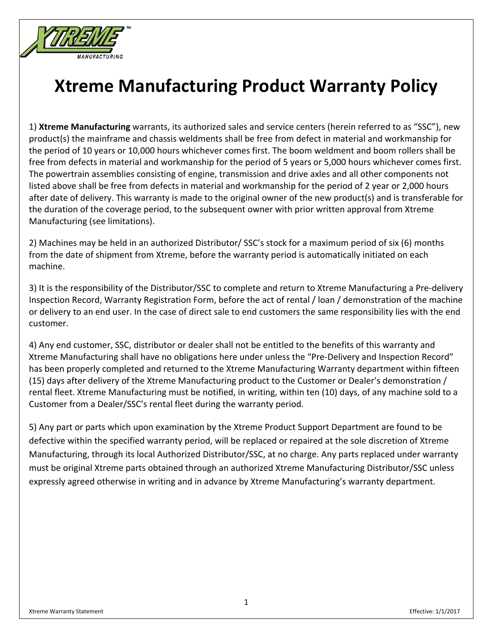

1) **Xtreme Manufacturing** warrants, its authorized sales and service centers (herein referred to as "SSC"), new product(s) the mainframe and chassis weldments shall be free from defect in material and workmanship for the period of 10 years or 10,000 hours whichever comes first. The boom weldment and boom rollers shall be free from defects in material and workmanship for the period of 5 years or 5,000 hours whichever comes first. The powertrain assemblies consisting of engine, transmission and drive axles and all other components not listed above shall be free from defects in material and workmanship for the period of 2 year or 2,000 hours after date of delivery. This warranty is made to the original owner of the new product(s) and is transferable for the duration of the coverage period, to the subsequent owner with prior written approval from Xtreme Manufacturing (see limitations).

2) Machines may be held in an authorized Distributor/ SSC's stock for a maximum period of six (6) months from the date of shipment from Xtreme, before the warranty period is automatically initiated on each machine.

3) It is the responsibility of the Distributor/SSC to complete and return to Xtreme Manufacturing a Pre‐delivery Inspection Record, Warranty Registration Form, before the act of rental / loan / demonstration of the machine or delivery to an end user. In the case of direct sale to end customers the same responsibility lies with the end customer.

4) Any end customer, SSC, distributor or dealer shall not be entitled to the benefits of this warranty and Xtreme Manufacturing shall have no obligations here under unless the "Pre‐Delivery and Inspection Record" has been properly completed and returned to the Xtreme Manufacturing Warranty department within fifteen (15) days after delivery of the Xtreme Manufacturing product to the Customer or Dealer's demonstration / rental fleet. Xtreme Manufacturing must be notified, in writing, within ten (10) days, of any machine sold to a Customer from a Dealer/SSC's rental fleet during the warranty period.

5) Any part or parts which upon examination by the Xtreme Product Support Department are found to be defective within the specified warranty period, will be replaced or repaired at the sole discretion of Xtreme Manufacturing, through its local Authorized Distributor/SSC, at no charge. Any parts replaced under warranty must be original Xtreme parts obtained through an authorized Xtreme Manufacturing Distributor/SSC unless expressly agreed otherwise in writing and in advance by Xtreme Manufacturing's warranty department.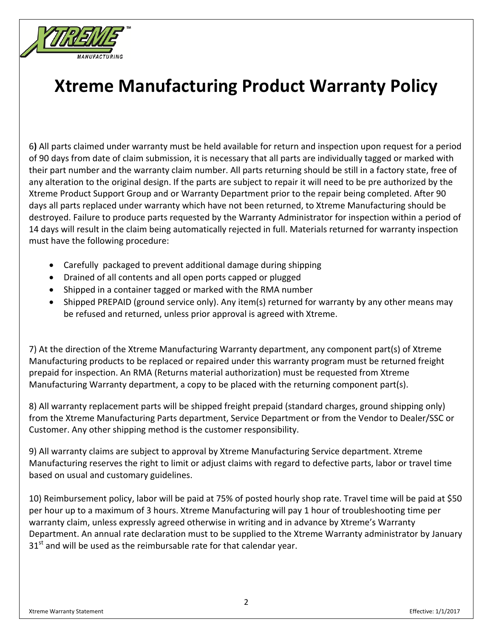

6**)** All parts claimed under warranty must be held available for return and inspection upon request for a period of 90 days from date of claim submission, it is necessary that all parts are individually tagged or marked with their part number and the warranty claim number. All parts returning should be still in a factory state, free of any alteration to the original design. If the parts are subject to repair it will need to be pre authorized by the Xtreme Product Support Group and or Warranty Department prior to the repair being completed. After 90 days all parts replaced under warranty which have not been returned, to Xtreme Manufacturing should be destroyed. Failure to produce parts requested by the Warranty Administrator for inspection within a period of 14 days will result in the claim being automatically rejected in full. Materials returned for warranty inspection must have the following procedure:

- Carefully packaged to prevent additional damage during shipping
- Drained of all contents and all open ports capped or plugged
- Shipped in a container tagged or marked with the RMA number
- Shipped PREPAID (ground service only). Any item(s) returned for warranty by any other means may be refused and returned, unless prior approval is agreed with Xtreme.

7) At the direction of the Xtreme Manufacturing Warranty department, any component part(s) of Xtreme Manufacturing products to be replaced or repaired under this warranty program must be returned freight prepaid for inspection. An RMA (Returns material authorization) must be requested from Xtreme Manufacturing Warranty department, a copy to be placed with the returning component part(s).

8) All warranty replacement parts will be shipped freight prepaid (standard charges, ground shipping only) from the Xtreme Manufacturing Parts department, Service Department or from the Vendor to Dealer/SSC or Customer. Any other shipping method is the customer responsibility.

9) All warranty claims are subject to approval by Xtreme Manufacturing Service department. Xtreme Manufacturing reserves the right to limit or adjust claims with regard to defective parts, labor or travel time based on usual and customary guidelines.

10) Reimbursement policy, labor will be paid at 75% of posted hourly shop rate. Travel time will be paid at \$50 per hour up to a maximum of 3 hours. Xtreme Manufacturing will pay 1 hour of troubleshooting time per warranty claim, unless expressly agreed otherwise in writing and in advance by Xtreme's Warranty Department. An annual rate declaration must to be supplied to the Xtreme Warranty administrator by January  $31<sup>st</sup>$  and will be used as the reimbursable rate for that calendar year.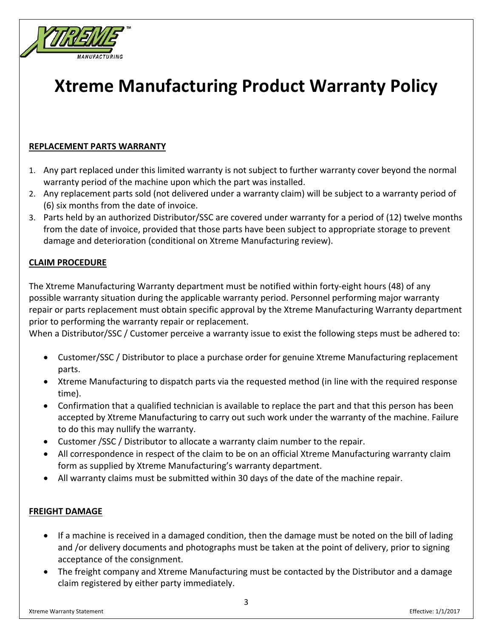

### **REPLACEMENT PARTS WARRANTY**

- 1. Any part replaced under this limited warranty is not subject to further warranty cover beyond the normal warranty period of the machine upon which the part was installed.
- 2. Any replacement parts sold (not delivered under a warranty claim) will be subject to a warranty period of (6) six months from the date of invoice.
- 3. Parts held by an authorized Distributor/SSC are covered under warranty for a period of (12) twelve months from the date of invoice, provided that those parts have been subject to appropriate storage to prevent damage and deterioration (conditional on Xtreme Manufacturing review).

### **CLAIM PROCEDURE**

The Xtreme Manufacturing Warranty department must be notified within forty‐eight hours (48) of any possible warranty situation during the applicable warranty period. Personnel performing major warranty repair or parts replacement must obtain specific approval by the Xtreme Manufacturing Warranty department prior to performing the warranty repair or replacement.

When a Distributor/SSC / Customer perceive a warranty issue to exist the following steps must be adhered to:

- Customer/SSC / Distributor to place a purchase order for genuine Xtreme Manufacturing replacement parts.
- Xtreme Manufacturing to dispatch parts via the requested method (in line with the required response time).
- Confirmation that a qualified technician is available to replace the part and that this person has been accepted by Xtreme Manufacturing to carry out such work under the warranty of the machine. Failure to do this may nullify the warranty.
- Customer /SSC / Distributor to allocate a warranty claim number to the repair.
- All correspondence in respect of the claim to be on an official Xtreme Manufacturing warranty claim form as supplied by Xtreme Manufacturing's warranty department.
- All warranty claims must be submitted within 30 days of the date of the machine repair.

### **FREIGHT DAMAGE**

- If a machine is received in a damaged condition, then the damage must be noted on the bill of lading and /or delivery documents and photographs must be taken at the point of delivery, prior to signing acceptance of the consignment.
- The freight company and Xtreme Manufacturing must be contacted by the Distributor and a damage claim registered by either party immediately.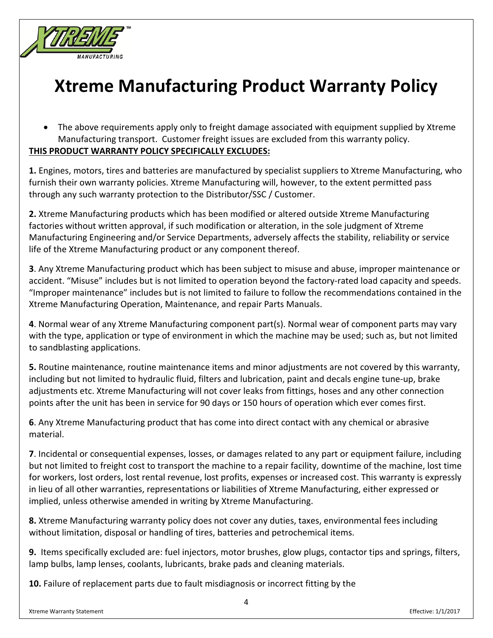

 The above requirements apply only to freight damage associated with equipment supplied by Xtreme Manufacturing transport. Customer freight issues are excluded from this warranty policy. **THIS PRODUCT WARRANTY POLICY SPECIFICALLY EXCLUDES:**

**1.** Engines, motors, tires and batteries are manufactured by specialist suppliers to Xtreme Manufacturing, who furnish their own warranty policies. Xtreme Manufacturing will, however, to the extent permitted pass through any such warranty protection to the Distributor/SSC / Customer.

**2.** Xtreme Manufacturing products which has been modified or altered outside Xtreme Manufacturing factories without written approval, if such modification or alteration, in the sole judgment of Xtreme Manufacturing Engineering and/or Service Departments, adversely affects the stability, reliability or service life of the Xtreme Manufacturing product or any component thereof.

**3**. Any Xtreme Manufacturing product which has been subject to misuse and abuse, improper maintenance or accident. "Misuse" includes but is not limited to operation beyond the factory‐rated load capacity and speeds. "Improper maintenance" includes but is not limited to failure to follow the recommendations contained in the Xtreme Manufacturing Operation, Maintenance, and repair Parts Manuals.

**4**. Normal wear of any Xtreme Manufacturing component part(s). Normal wear of component parts may vary with the type, application or type of environment in which the machine may be used; such as, but not limited to sandblasting applications.

**5.** Routine maintenance, routine maintenance items and minor adjustments are not covered by this warranty, including but not limited to hydraulic fluid, filters and lubrication, paint and decals engine tune‐up, brake adjustments etc. Xtreme Manufacturing will not cover leaks from fittings, hoses and any other connection points after the unit has been in service for 90 days or 150 hours of operation which ever comes first.

**6**. Any Xtreme Manufacturing product that has come into direct contact with any chemical or abrasive material.

**7**. Incidental or consequential expenses, losses, or damages related to any part or equipment failure, including but not limited to freight cost to transport the machine to a repair facility, downtime of the machine, lost time for workers, lost orders, lost rental revenue, lost profits, expenses or increased cost. This warranty is expressly in lieu of all other warranties, representations or liabilities of Xtreme Manufacturing, either expressed or implied, unless otherwise amended in writing by Xtreme Manufacturing.

**8.** Xtreme Manufacturing warranty policy does not cover any duties, taxes, environmental fees including without limitation, disposal or handling of tires, batteries and petrochemical items.

**9.** Items specifically excluded are: fuel injectors, motor brushes, glow plugs, contactor tips and springs, filters, lamp bulbs, lamp lenses, coolants, lubricants, brake pads and cleaning materials.

**10.** Failure of replacement parts due to fault misdiagnosis or incorrect fitting by the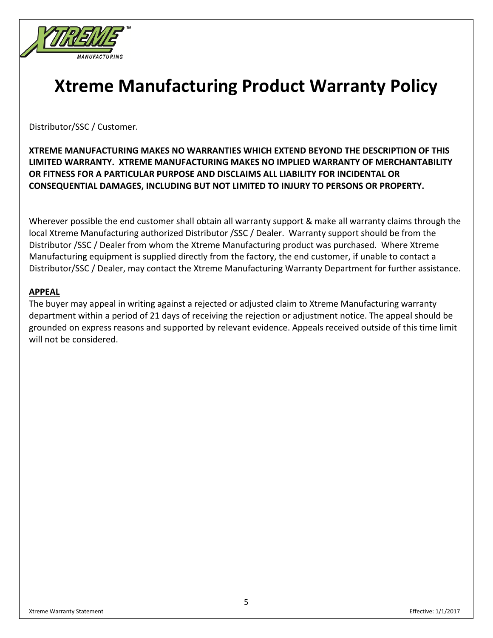

Distributor/SSC / Customer.

**XTREME MANUFACTURING MAKES NO WARRANTIES WHICH EXTEND BEYOND THE DESCRIPTION OF THIS LIMITED WARRANTY. XTREME MANUFACTURING MAKES NO IMPLIED WARRANTY OF MERCHANTABILITY OR FITNESS FOR A PARTICULAR PURPOSE AND DISCLAIMS ALL LIABILITY FOR INCIDENTAL OR CONSEQUENTIAL DAMAGES, INCLUDING BUT NOT LIMITED TO INJURY TO PERSONS OR PROPERTY.**

Wherever possible the end customer shall obtain all warranty support & make all warranty claims through the local Xtreme Manufacturing authorized Distributor /SSC / Dealer. Warranty support should be from the Distributor /SSC / Dealer from whom the Xtreme Manufacturing product was purchased. Where Xtreme Manufacturing equipment is supplied directly from the factory, the end customer, if unable to contact a Distributor/SSC / Dealer, may contact the Xtreme Manufacturing Warranty Department for further assistance.

#### **APPEAL**

The buyer may appeal in writing against a rejected or adjusted claim to Xtreme Manufacturing warranty department within a period of 21 days of receiving the rejection or adjustment notice. The appeal should be grounded on express reasons and supported by relevant evidence. Appeals received outside of this time limit will not be considered.